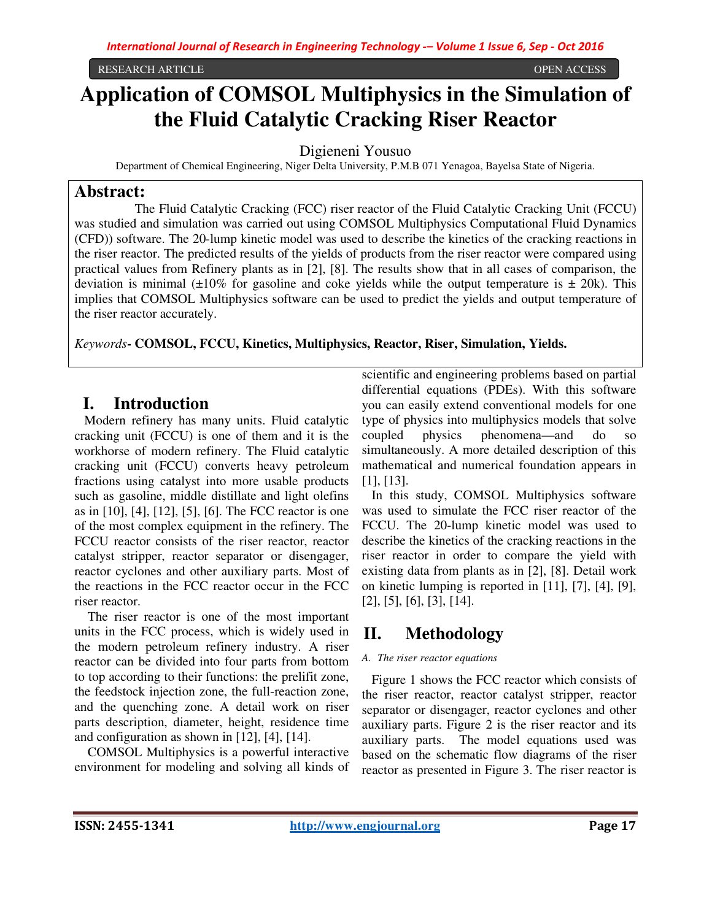#### RESEARCH ARTICLE OPEN ACCESS

# **Application of COMSOL Multiphysics in the Simulation of the Fluid Catalytic Cracking Riser Reactor**

Digieneni Yousuo

Department of Chemical Engineering, Niger Delta University, P.M.B 071 Yenagoa, Bayelsa State of Nigeria.

### **Abstract:**

 The Fluid Catalytic Cracking (FCC) riser reactor of the Fluid Catalytic Cracking Unit (FCCU) was studied and simulation was carried out using COMSOL Multiphysics Computational Fluid Dynamics (CFD)) software. The 20-lump kinetic model was used to describe the kinetics of the cracking reactions in the riser reactor. The predicted results of the yields of products from the riser reactor were compared using practical values from Refinery plants as in [2], [8]. The results show that in all cases of comparison, the deviation is minimal  $(\pm 10\%$  for gasoline and coke yields while the output temperature is  $\pm$  20k). This implies that COMSOL Multiphysics software can be used to predict the yields and output temperature of the riser reactor accurately.

*Keywords***- COMSOL, FCCU, Kinetics, Multiphysics, Reactor, Riser, Simulation, Yields.** 

## **I. Introduction**

Modern refinery has many units. Fluid catalytic cracking unit (FCCU) is one of them and it is the workhorse of modern refinery. The Fluid catalytic cracking unit (FCCU) converts heavy petroleum fractions using catalyst into more usable products such as gasoline, middle distillate and light olefins as in [10], [4], [12], [5], [6]. The FCC reactor is one of the most complex equipment in the refinery. The FCCU reactor consists of the riser reactor, reactor catalyst stripper, reactor separator or disengager, reactor cyclones and other auxiliary parts. Most of the reactions in the FCC reactor occur in the FCC riser reactor.

 The riser reactor is one of the most important units in the FCC process, which is widely used in the modern petroleum refinery industry. A riser reactor can be divided into four parts from bottom to top according to their functions: the prelifit zone, the feedstock injection zone, the full-reaction zone, and the quenching zone. A detail work on riser parts description, diameter, height, residence time and configuration as shown in [12], [4], [14].

 COMSOL Multiphysics is a powerful interactive environment for modeling and solving all kinds of

scientific and engineering problems based on partial differential equations (PDEs). With this software you can easily extend conventional models for one type of physics into multiphysics models that solve coupled physics phenomena—and do so simultaneously. A more detailed description of this mathematical and numerical foundation appears in [1], [13].

In this study, COMSOL Multiphysics software was used to simulate the FCC riser reactor of the FCCU. The 20-lump kinetic model was used to describe the kinetics of the cracking reactions in the riser reactor in order to compare the yield with existing data from plants as in [2], [8]. Detail work on kinetic lumping is reported in [11], [7], [4], [9], [2], [5], [6], [3], [14].

## **II. Methodology**

#### *A. The riser reactor equations*

Figure 1 shows the FCC reactor which consists of the riser reactor, reactor catalyst stripper, reactor separator or disengager, reactor cyclones and other auxiliary parts. Figure 2 is the riser reactor and its auxiliary parts. The model equations used was based on the schematic flow diagrams of the riser reactor as presented in Figure 3. The riser reactor is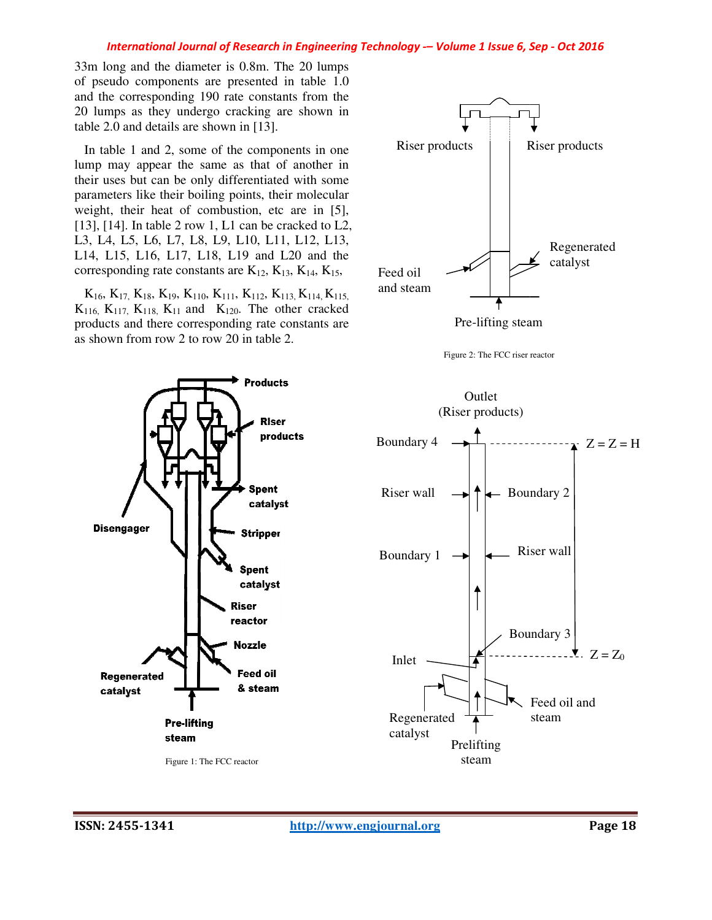#### *International Journal of Research in Engineering Technology Technology -– Volume 1 Issue 6, Sep - Oct 2016*

 $33m$  long and the diameter is  $0.8m$ . The  $20$  lumps of pseudo components are presented in table 1.0 and the corresponding 190 rate constants from the 20 lumps as they undergo cracking are shown in table 2.0 and details are shown in [13]. id the corresponding 190 rate constants from the<br>in lumps as they undergo cracking are shown in<br>ble 2.0 and details are shown in [13].<br>In table 1 and 2, some of the components in one

In table 1 and 2, some of the components in one lump may appear the same as that of another in their uses but can be only differentiated with some parameters like their boiling points, their molecular lump may appear the same as that of another in their uses but can be only differentiated with some parameters like their boiling points, their molecular weight, their heat of combustion, etc are in [5],  $[13]$ ,  $[14]$ . In table 2 row 1, L1 can be cracked to L2, L3, L4, L5, L6, L7, L8, L9, L10, L11, L12, L13, L3, L4, L5, L6, L7, L8, L9, L10, L11, L12, L13,<br>L14, L15, L16, L17, L18, L19 and L20 and the corresponding rate constants are  $K_{12}$ ,  $K_{13}$ ,  $K_{14}$ ,  $K_{15}$ ,

 $K_{16}$ ,  $K_{17}$ ,  $K_{18}$ ,  $K_{19}$ ,  $K_{110}$ ,  $K_{111}$ ,  $K_{112}$ ,  $K_{113}$ ,  $K_{114}$ ,  $K_{115}$ ,  $K_{116}$ ,  $K_{117}$ ,  $K_{118}$ ,  $K_{11}$  and  $K_{120}$ . The other cracked products and there corresponding rate constants are as shown from row 2 to row 20 in table 2.



Pre-lifting steam



Riser wall

Feed oil and steam

 $\bullet$   $Z = Z_0$ 



**ISSN: 2455-1341** 

 $\Sigma$  = Z = H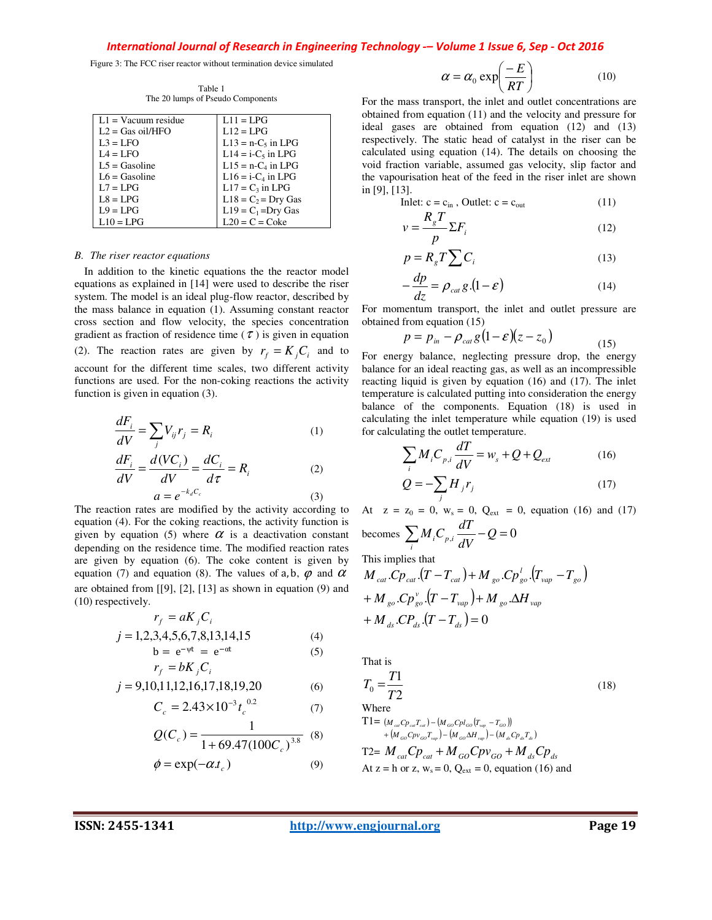*International Journal of Research in Engineering Technology -– Volume 1 Issue 6, Sep - Oct 2016* 

Figure 3: The FCC riser reactor without termination device simulated

| $L1 =$ Vacuum residue | $L11 = LPG$           |
|-----------------------|-----------------------|
| $L2 = Gas$ oil/HFO    | $L12 = LPG$           |
| $L3 = LFO$            | $L13 = n-C5$ in LPG   |
| $IA = LFO$            | $L14 = i-C5$ in LPG   |
| $1.5 =$ Gasoline      | $L15 = n-C4$ in LPG   |
| $L6 =$ Gasoline       | $L16 = i - C4$ in LPG |
| $L7 = LPG$            | $L17 = C_3$ in LPG    |
| $LS = LPG$            | $L18 = C_2 = Dry Gas$ |
| $L9 = LPG$            | $L19 = C_1 = Dry Gas$ |
| $L10 = LPG$           | $L20 = C = C$ oke     |

Table 1 The 20 lumps of Pseudo Components

#### *B. The riser reactor equations*

In addition to the kinetic equations the the reactor model equations as explained in [14] were used to describe the riser system. The model is an ideal plug-flow reactor, described by the mass balance in equation (1). Assuming constant reactor cross section and flow velocity, the species concentration gradient as fraction of residence time ( $\tau$ ) is given in equation (2). The reaction rates are given by  $r_f = K_i C_i$  and to account for the different time scales, two different activity functions are used. For the non-coking reactions the activity function is given in equation (3).

$$
\frac{dF_i}{dV} = \sum_j V_{ij} r_j = R_i \tag{1}
$$

$$
\frac{dF_i}{dV} = \frac{d(VC_i)}{dV} = \frac{dC_i}{d\tau} = R_i
$$
\n(2)\n  
\n
$$
a = e^{-k_d C_c}
$$
\n(3)

The reaction rates are modified by the activity according to equation (4). For the coking reactions, the activity function is given by equation (5) where  $\alpha$  is a deactivation constant depending on the residence time. The modified reaction rates are given by equation (6). The coke content is given by equation (7) and equation (8). The values of a, b,  $\varphi$  and  $\alpha$ are obtained from [[9], [2], [13] as shown in equation (9) and (10) respectively.

$$
r_f = aK_j C_i
$$
  
\n
$$
j = 1,2,3,4,5,6,7,8,13,14,15
$$
  
\n
$$
b = e^{-vt} = e^{-\alpha t}
$$
 (5)

$$
b = e^{-qt} = e^{-at}
$$
  
\n
$$
r_f = bK_j C_i
$$
\n(5)

$$
j = 9,10,11,12,16,17,18,19,20 \tag{6}
$$

$$
C_c = 2.43 \times 10^{-3} t_c^{0.02}
$$
 (7)  

$$
Q(C_c) = \frac{1}{1 + 69.47 (100 C_c)^{3.8}}
$$
 (8)

$$
\phi = \exp(-\alpha t_c) \tag{9}
$$

$$
\alpha = \alpha_0 \exp\left(\frac{-E}{RT}\right) \tag{10}
$$

For the mass transport, the inlet and outlet concentrations are obtained from equation (11) and the velocity and pressure for ideal gases are obtained from equation (12) and (13) respectively. The static head of catalyst in the riser can be calculated using equation (14). The details on choosing the void fraction variable, assumed gas velocity, slip factor and the vapourisation heat of the feed in the riser inlet are shown in [9], [13].

$$
Inlet: c = c_{in}, Outlet: c = c_{out}
$$
 (11)

$$
v = \frac{R_s T}{p} \Sigma F_i
$$
 (12)

$$
p = R_{g} T \sum C_{i}
$$
 (13)

$$
-\frac{dp}{dz} = \rho_{\rm cat} g.(1 - \varepsilon) \tag{14}
$$

For momentum transport, the inlet and outlet pressure are obtained from equation (15)

$$
p = p_{in} - \rho_{cat} g (1 - \varepsilon) (z - z_0)
$$
\n(15)

For energy balance, neglecting pressure drop, the energy balance for an ideal reacting gas, as well as an incompressible reacting liquid is given by equation (16) and (17). The inlet temperature is calculated putting into consideration the energy balance of the components. Equation (18) is used in calculating the inlet temperature while equation (19) is used for calculating the outlet temperature.

$$
\sum_{i} M_{i} C_{p,i} \frac{dT}{dV} = w_{s} + Q + Q_{ext}
$$
 (16)

$$
Q = -\sum_{j} H_{j} r_{j} \tag{17}
$$

At  $z = z_0 = 0$ ,  $w_s = 0$ ,  $Q_{ext} = 0$ , equation (16) and (17) becomes  $\sum_{i} M_i C_{p,i} \frac{dI}{dV} - Q = 0$  $\sum_i M_i C_{p,i} \frac{dT}{dV} - Q =$ 

This implies that

$$
M_{cat}.Cp_{cat}.(T - T_{cat}) + M_{go}.Cp_{go}^{'}.(T_{vap} - T_{go})
$$
  
+  $M_{go}.Cp_{go}^{v}.(T - T_{vap}) + M_{go}.\Delta H_{vap}$   
+  $M_{ds}.CP_{ds}.(T - T_{ds}) = 0$ 

That is

$$
T_0 = \frac{T1}{T2}
$$
\nWhere\nT1 = ( $M_{ca}C_{P_{cal}}T_{ca} - (M_{co}C_{P_{top}}(T_{w_P} - T_{co}))$ \n $+ (M_{co}C_{P_{vo}}T_{w_P}) - (M_{co}M_{w_P}) - (M_{de}C_{P_{o}}T_{a})$ \n $T2 = M_{cat}C_{P_{cat}} + M_{GO}C_{P_{VO}} + M_{ds}C_{P_{ds}}$ \nAt z = h or z, w<sub>s</sub> = 0, Q<sub>ext</sub> = 0, equation (16) and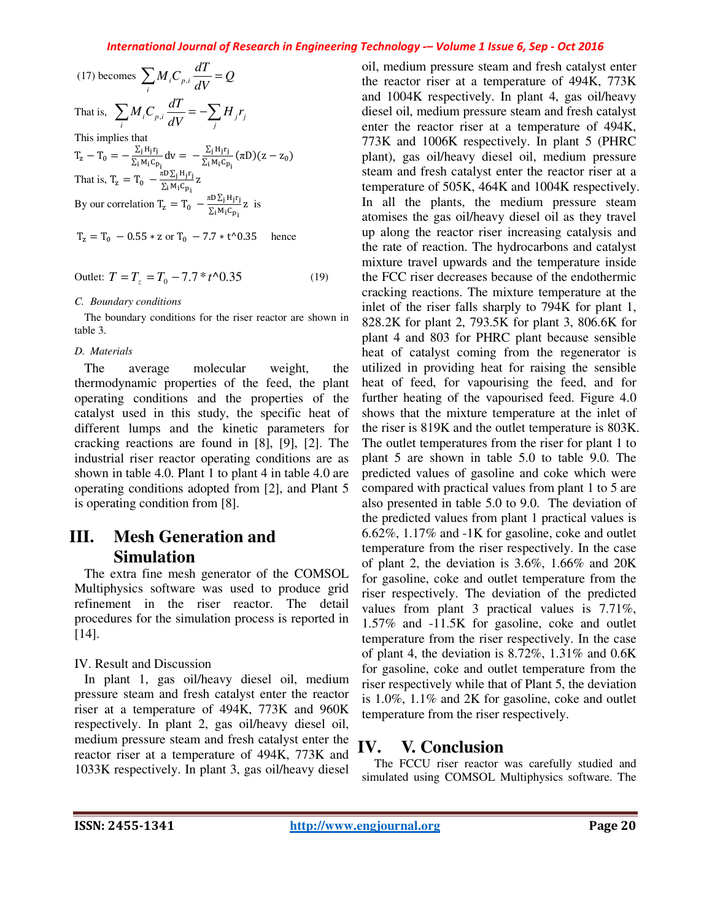#### *International Journal of Research in Engineering Technology -– Volume 1 Issue 6, Sep - Oct 2016*

| (17) becomes $\sum M_i C_{p,i} \frac{dI}{dV} = Q$                                                                                                                                                                                                                                  |
|------------------------------------------------------------------------------------------------------------------------------------------------------------------------------------------------------------------------------------------------------------------------------------|
| That is, $\sum_{i} M_i C_{p,i} \frac{dT}{dV} = -\sum_{i} H_i r_i$                                                                                                                                                                                                                  |
| This implies that                                                                                                                                                                                                                                                                  |
| T <sub>z</sub> - T <sub>0</sub> = $-\frac{\sum_{i} H_{j}r_{j}}{\sum_{i} M_{i}c_{p_{i}}}$ dv = $-\frac{\sum_{i} H_{j}r_{j}}{\sum_{i} M_{i}c_{p_{i}}} (\pi D)(z - z_{0})$<br>That is, T <sub>z</sub> = T <sub>0</sub> $-\frac{\pi D \sum_{j} H_{j}r_{j}}{\sum_{i} M_{i}c_{p_{i}}} z$ |
|                                                                                                                                                                                                                                                                                    |
| By our correlation $T_z = T_0 - \frac{\pi D \sum_j H_j r_j}{\sum_i M_i C_{p_i}} z$ is                                                                                                                                                                                              |

$$
T_z = T_0 - 0.55 * z
$$
 or  $T_0 - 7.7 * t^0.35$  hence

$$
Outlet: T = T_z = T_0 - 7.7 * t \cdot 0.35 \tag{19}
$$

#### *C. Boundary conditions*

The boundary conditions for the riser reactor are shown in table 3.

#### *D. Materials*

The average molecular weight, the thermodynamic properties of the feed, the plant operating conditions and the properties of the catalyst used in this study, the specific heat of different lumps and the kinetic parameters for cracking reactions are found in [8], [9], [2]. The industrial riser reactor operating conditions are as shown in table 4.0. Plant 1 to plant 4 in table 4.0 are operating conditions adopted from [2], and Plant 5 is operating condition from [8].

## **III. Mesh Generation and Simulation**

The extra fine mesh generator of the COMSOL Multiphysics software was used to produce grid refinement in the riser reactor. The detail procedures for the simulation process is reported in [14].

### IV. Result and Discussion

In plant 1, gas oil/heavy diesel oil, medium pressure steam and fresh catalyst enter the reactor riser at a temperature of 494K, 773K and 960K respectively. In plant 2, gas oil/heavy diesel oil, medium pressure steam and fresh catalyst enter the reactor riser at a temperature of 494K, 773K and 1033K respectively. In plant 3, gas oil/heavy diesel

oil, medium pressure steam and fresh catalyst enter the reactor riser at a temperature of 494K, 773K and 1004K respectively. In plant 4, gas oil/heavy diesel oil, medium pressure steam and fresh catalyst enter the reactor riser at a temperature of 494K, 773K and 1006K respectively. In plant 5 (PHRC plant), gas oil/heavy diesel oil, medium pressure steam and fresh catalyst enter the reactor riser at a temperature of 505K, 464K and 1004K respectively. In all the plants, the medium pressure steam atomises the gas oil/heavy diesel oil as they travel up along the reactor riser increasing catalysis and the rate of reaction. The hydrocarbons and catalyst mixture travel upwards and the temperature inside the FCC riser decreases because of the endothermic cracking reactions. The mixture temperature at the inlet of the riser falls sharply to 794K for plant 1, 828.2K for plant 2, 793.5K for plant 3, 806.6K for plant 4 and 803 for PHRC plant because sensible heat of catalyst coming from the regenerator is utilized in providing heat for raising the sensible heat of feed, for vapourising the feed, and for further heating of the vapourised feed. Figure 4.0 shows that the mixture temperature at the inlet of the riser is 819K and the outlet temperature is 803K. The outlet temperatures from the riser for plant 1 to plant 5 are shown in table 5.0 to table 9.0. The predicted values of gasoline and coke which were compared with practical values from plant 1 to 5 are also presented in table 5.0 to 9.0. The deviation of the predicted values from plant 1 practical values is 6.62%, 1.17% and -1K for gasoline, coke and outlet temperature from the riser respectively. In the case of plant 2, the deviation is 3.6%, 1.66% and 20K for gasoline, coke and outlet temperature from the riser respectively. The deviation of the predicted values from plant 3 practical values is 7.71%, 1.57% and -11.5K for gasoline, coke and outlet temperature from the riser respectively. In the case of plant 4, the deviation is  $8.72\%$ ,  $1.31\%$  and  $0.6K$ for gasoline, coke and outlet temperature from the riser respectively while that of Plant 5, the deviation is 1.0%, 1.1% and 2K for gasoline, coke and outlet temperature from the riser respectively.

## **IV. V. Conclusion**

The FCCU riser reactor was carefully studied and simulated using COMSOL Multiphysics software. The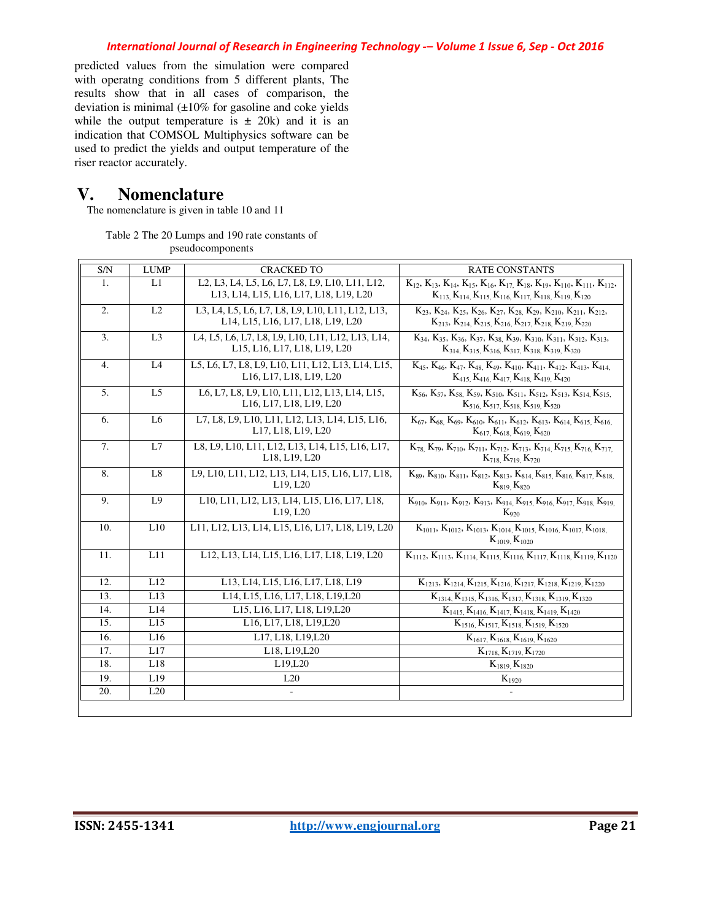predicted values from the simulation were compared with operatng conditions from 5 different plants, The results show that in all cases of comparison, the deviation is minimal  $(\pm 10\%$  for gasoline and coke yields while the output temperature is  $\pm$  20k) and it is an indication that COMSOL Multiphysics software can be used to predict the yields and output temperature of the riser reactor accurately.

## **V. Nomenclature**

The nomenclature is given in table 10 and 11

Table 2 The 20 Lumps and 190 rate constants of pseudocomponents

| S/N              | <b>LUMP</b>    | <b>CRACKED TO</b>                                                                                                                                                                             | <b>RATE CONSTANTS</b>                                                                                                                                                                                  |
|------------------|----------------|-----------------------------------------------------------------------------------------------------------------------------------------------------------------------------------------------|--------------------------------------------------------------------------------------------------------------------------------------------------------------------------------------------------------|
| 1.               | L1             | L <sub>2</sub> , L <sub>3</sub> , L <sub>4</sub> , L <sub>5</sub> , L <sub>6</sub> , L <sub>7</sub> , L <sub>8</sub> , L <sub>9</sub> , L <sub>10</sub> , L <sub>11</sub> , L <sub>12</sub> , | $K_{12}$ , $K_{13}$ , $K_{14}$ , $K_{15}$ , $K_{16}$ , $K_{17}$ , $K_{18}$ , $K_{19}$ , $K_{110}$ , $K_{111}$ , $K_{112}$ ,                                                                            |
|                  |                | L13, L14, L15, L16, L17, L18, L19, L20                                                                                                                                                        | $K_{113}$ , $K_{114}$ , $K_{115}$ , $K_{116}$ , $K_{117}$ , $K_{118}$ , $K_{119}$ , $K_{120}$                                                                                                          |
| 2.               | L2             | L3, L4, L5, L6, L7, L8, L9, L10, L11, L12, L13,                                                                                                                                               | $K_{23}$ , $K_{24}$ , $K_{25}$ , $K_{26}$ , $K_{27}$ , $K_{28}$ , $K_{29}$ , $K_{210}$ , $K_{211}$ , $K_{212}$ ,                                                                                       |
|                  |                | L14, L15, L16, L17, L18, L19, L20                                                                                                                                                             | $K_{213}$ , $K_{214}$ , $K_{215}$ , $K_{216}$ , $K_{217}$ , $K_{218}$ , $K_{219}$ , $K_{220}$                                                                                                          |
| 3.               | L <sub>3</sub> | L4, L5, L6, L7, L8, L9, L10, L11, L12, L13, L14,<br>L15, L16, L17, L18, L19, L20                                                                                                              | $K_{34}$ , $K_{35}$ , $K_{36}$ , $K_{37}$ , $K_{38}$ , $K_{39}$ , $K_{310}$ , $K_{311}$ , $K_{312}$ , $K_{313}$ ,<br>$K_{314}$ , $K_{315}$ , $K_{316}$ , $K_{317}$ , $K_{318}$ , $K_{319}$ , $K_{320}$ |
| $\overline{4}$ . | L4             | L5, L6, L7, L8, L9, L10, L11, L12, L13, L14, L15,                                                                                                                                             | $K_{45}$ , $K_{46}$ , $K_{47}$ , $K_{48}$ , $K_{49}$ , $K_{410}$ , $K_{411}$ , $K_{412}$ , $K_{413}$ , $K_{414}$ .                                                                                     |
|                  |                | L16, L17, L18, L19, L20                                                                                                                                                                       | $K_{415}$ , $K_{416}$ , $K_{417}$ , $K_{418}$ , $K_{419}$ , $K_{420}$                                                                                                                                  |
| 5.               | L <sub>5</sub> | L6, L7, L8, L9, L10, L11, L12, L13, L14, L15,<br>L16, L17, L18, L19, L20                                                                                                                      | $K_{56}$ , $K_{57}$ , $K_{58}$ , $K_{59}$ , $K_{510}$ , $K_{511}$ , $K_{512}$ , $K_{513}$ , $K_{514}$ , $K_{515}$<br>$K_{516} K_{517} K_{518} K_{519} K_{520}$                                         |
| 6.               | L <sub>6</sub> | L7, L8, L9, L10, L11, L12, L13, L14, L15, L16,                                                                                                                                                | $K_{67}$ , $K_{68}$ , $K_{69}$ , $K_{610}$ , $K_{611}$ , $K_{612}$ , $K_{613}$ , $K_{614}$ , $K_{615}$ , $K_{616}$                                                                                     |
|                  |                | L17, L18, L19, L20                                                                                                                                                                            | $K_{617} K_{618} K_{619} K_{620}$                                                                                                                                                                      |
| 7.               | L7             | L8, L9, L10, L11, L12, L13, L14, L15, L16, L17,<br>L18, L19, L20                                                                                                                              | $K_{78}$ , $K_{79}$ , $K_{710}$ , $K_{711}$ , $K_{712}$ , $K_{713}$ , $K_{714}$ , $K_{715}$ , $K_{716}$ , $K_{717}$ ,                                                                                  |
|                  |                |                                                                                                                                                                                               | $K_{718} K_{719} K_{720}$                                                                                                                                                                              |
| 8.               | L8             | L9, L10, L11, L12, L13, L14, L15, L16, L17, L18,<br>L19, L20                                                                                                                                  | $K_{89}$ , $K_{810}$ , $K_{811}$ , $K_{812}$ , $K_{813}$ , $K_{814}$ , $K_{815}$ , $K_{816}$ , $K_{817}$ , $K_{818}$<br>$K_{819} K_{820}$                                                              |
| 9.               | L <sub>9</sub> | L10, L11, L12, L13, L14, L15, L16, L17, L18,<br>L19, L20                                                                                                                                      | $K_{910}$ , $K_{911}$ , $K_{912}$ , $K_{913}$ , $K_{914}$ , $K_{915}$ , $K_{916}$ , $K_{917}$ , $K_{918}$ , $K_{919}$<br>$K_{920}$                                                                     |
| 10.              | L10            | L11, L12, L13, L14, L15, L16, L17, L18, L19, L20                                                                                                                                              | $K_{1011}$ , $K_{1012}$ , $K_{1013}$ , $K_{1014}$ , $K_{1015}$ , $K_{1016}$ , $K_{1017}$ , $K_{1018}$ ,<br>$K_{1019}$ , $K_{1020}$                                                                     |
| 11.              | L11            | L12, L13, L14, L15, L16, L17, L18, L19, L20                                                                                                                                                   | $K_{1112}, K_{1113}, K_{1114}, K_{1115}, K_{1116}, K_{1117}, K_{1118}, K_{1119}, K_{1120}$                                                                                                             |
|                  |                |                                                                                                                                                                                               |                                                                                                                                                                                                        |
| 12.              | L12            | L13, L14, L15, L16, L17, L18, L19                                                                                                                                                             | $K_{1213}$ , $K_{1214}$ , $K_{1215}$ , $K_{1216}$ , $K_{1217}$ , $K_{1218}$ , $K_{1219}$ , $K_{1220}$                                                                                                  |
| 13.              | L13            | L14, L15, L16, L17, L18, L19, L20                                                                                                                                                             | $K_{1314}$ , $K_{1315}$ , $K_{1316}$ , $K_{1317}$ , $K_{1318}$ , $K_{1319}$ , $K_{1320}$                                                                                                               |
| 14.              | L14            | L15, L16, L17, L18, L19, L20                                                                                                                                                                  | $K_{1415}$ , $K_{1416}$ , $K_{1417}$ , $K_{1418}$ , $K_{1419}$ , $K_{1420}$                                                                                                                            |
| 15.              | L15            | L16, L17, L18, L19, L20                                                                                                                                                                       | $K_{1516}$ , $K_{1517}$ , $K_{1518}$ , $K_{1519}$ , $K_{1520}$                                                                                                                                         |
| 16.              | L16            | L17, L18, L19, L20                                                                                                                                                                            | $K_{1617}$ , $K_{1618}$ , $K_{1619}$ , $K_{1620}$                                                                                                                                                      |
| 17.              | L17            | L18, L19, L20                                                                                                                                                                                 | $K_{1718}$ , $K_{1719}$ , $K_{1720}$                                                                                                                                                                   |
| 18.              | L18            | L19,L20                                                                                                                                                                                       | $K_{1819}$ , $K_{1820}$                                                                                                                                                                                |
| 19.              | L19            | L20                                                                                                                                                                                           | $K_{1920}$                                                                                                                                                                                             |
| 20.              | L20            | $\Box$                                                                                                                                                                                        | $\Box$                                                                                                                                                                                                 |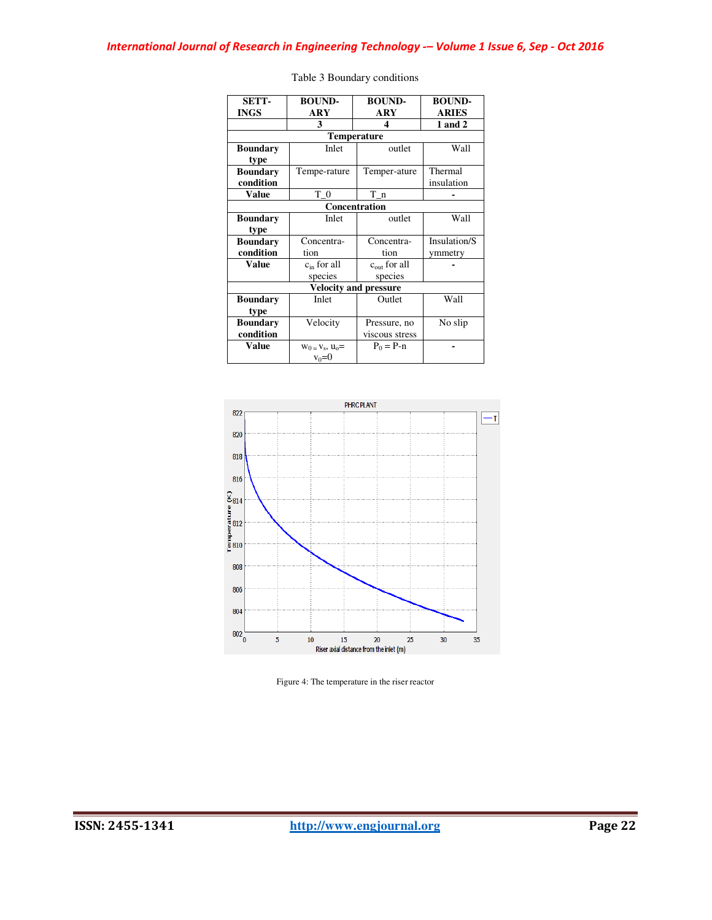| <b>SETT-</b>    | <b>BOUND-</b>         | <b>BOUND-</b>                | <b>BOUND-</b> |
|-----------------|-----------------------|------------------------------|---------------|
| <b>INGS</b>     | ARY                   | ARY                          | <b>ARIES</b>  |
|                 | 3                     | 4                            | 1 and 2       |
|                 |                       | <b>Temperature</b>           |               |
| <b>Boundary</b> | Inlet                 | outlet                       | Wall          |
| type            |                       |                              |               |
| <b>Boundary</b> | Tempe-rature          | Temper-ature                 | Thermal       |
| condition       |                       |                              | insulation    |
| <b>Value</b>    | $T_0$                 | $T_n$                        |               |
|                 |                       | <b>Concentration</b>         |               |
| <b>Boundary</b> | Inlet                 | outlet                       | Wall          |
| type            |                       |                              |               |
| <b>Boundary</b> | Concentra-            | Concentra-                   | Insulation/S  |
| condition       | tion                  | tion                         | ymmetry       |
| <b>Value</b>    | $c_{in}$ for all      | $cout$ for all               |               |
|                 | species               | species                      |               |
|                 |                       | <b>Velocity and pressure</b> |               |
| <b>Boundary</b> | Inlet                 | Outlet                       | Wall          |
| type            |                       |                              |               |
| <b>Boundary</b> | Velocity              | Pressure, no                 | No slip       |
| condition       |                       | viscous stress               |               |
| Value           | $W_0 = V_s$ , $U_0 =$ | $P_0 = P - n$                |               |
|                 | $v_0 = 0$             |                              |               |

| Table 3 Boundary conditions |  |
|-----------------------------|--|
|-----------------------------|--|



Figure 4: The temperature in the riser reactor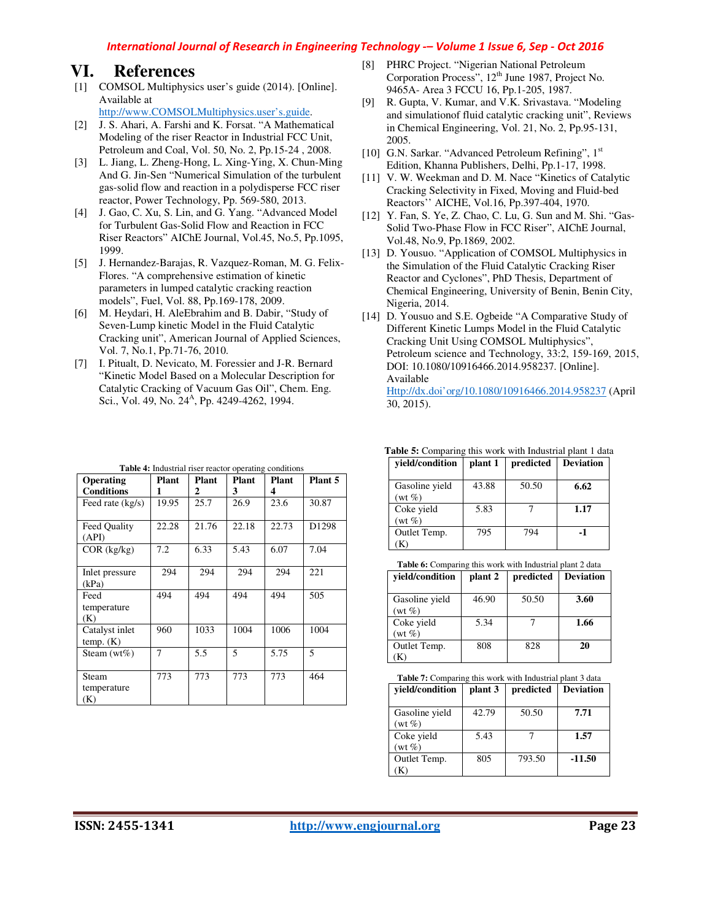#### *International Journal of Research in Engineering Technology -– Volume 1 Issue 6, Sep - Oct 2016*

### **VI. References**

- [1] COMSOL Multiphysics user's guide (2014). [Online]. Available at
	- http://www.COMSOLMultiphysics.user's.guide.
- [2] J. S. Ahari, A. Farshi and K. Forsat. "A Mathematical Modeling of the riser Reactor in Industrial FCC Unit, Petroleum and Coal, Vol. 50, No. 2, Pp.15-24 , 2008.
- [3] L. Jiang, L. Zheng-Hong, L. Xing-Ying, X. Chun-Ming And G. Jin-Sen "Numerical Simulation of the turbulent gas-solid flow and reaction in a polydisperse FCC riser reactor, Power Technology, Pp. 569-580, 2013.
- [4] J. Gao, C. Xu, S. Lin, and G. Yang. "Advanced Model" for Turbulent Gas-Solid Flow and Reaction in FCC Riser Reactors" AIChE Journal, Vol.45, No.5, Pp.1095, 1999.
- [5] J. Hernandez-Barajas, R. Vazquez-Roman, M. G. Felix-Flores. "A comprehensive estimation of kinetic parameters in lumped catalytic cracking reaction models", Fuel, Vol. 88, Pp.169-178, 2009.
- [6] M. Heydari, H. AleEbrahim and B. Dabir, "Study of Seven-Lump kinetic Model in the Fluid Catalytic Cracking unit", American Journal of Applied Sciences, Vol. 7, No.1, Pp.71-76, 2010.
- [7] I. Pitualt, D. Nevicato, M. Foressier and J-R. Bernard "Kinetic Model Based on a Molecular Description for Catalytic Cracking of Vacuum Gas Oil", Chem. Eng. Sci., Vol. 49, No. 24<sup>A</sup>, Pp. 4249-4262, 1994.

| <b>Operating</b>            | <b>Plant</b> | Plant | <b>Plant</b> | <b>rapic +:</b> muastrial riser reactor operating conditions<br><b>Plant</b> | Plant 5 |
|-----------------------------|--------------|-------|--------------|------------------------------------------------------------------------------|---------|
| <b>Conditions</b>           | 1            | 2     | 3            | 4                                                                            |         |
| Feed rate (kg/s)            | 19.95        | 25.7  | 26.9         | 23.6                                                                         | 30.87   |
| Feed Quality<br>(API)       | 22.28        | 21.76 | 22.18        | 22.73                                                                        | D1298   |
| $COR$ (kg/kg)               | 7.2          | 6.33  | 5.43         | 6.07                                                                         | 7.04    |
| Inlet pressure<br>(kPa)     | 294          | 294   | 294          | 294                                                                          | 221     |
| Feed<br>temperature<br>(K)  | 494          | 494   | 494          | 494                                                                          | 505     |
| Catalyst inlet<br>temp. (K) | 960          | 1033  | 1004         | 1006                                                                         | 1004    |
| Steam $(wt\%)$              | 7            | 5.5   | 5            | 5.75                                                                         | 5       |
| Steam<br>temperature<br>(K) | 773          | 773   | 773          | 773                                                                          | 464     |

#### **Table 4:** Industrial riser reactor operating conditions

- [8] PHRC Project. "Nigerian National Petroleum Corporation Process", 12<sup>th</sup> June 1987, Project No. 9465A- Area 3 FCCU 16, Pp.1-205, 1987.
- [9] R. Gupta, V. Kumar, and V.K. Srivastava. "Modeling and simulationof fluid catalytic cracking unit", Reviews in Chemical Engineering, Vol. 21, No. 2, Pp.95-131, 2005.
- [10] G.N. Sarkar. "Advanced Petroleum Refining", 1st Edition, Khanna Publishers, Delhi, Pp.1-17, 1998.
- [11] V. W. Weekman and D. M. Nace "Kinetics of Catalytic Cracking Selectivity in Fixed, Moving and Fluid-bed Reactors'' AICHE, Vol.16, Pp.397-404, 1970.
- [12] Y. Fan, S. Ye, Z. Chao, C. Lu, G. Sun and M. Shi. "Gas-Solid Two-Phase Flow in FCC Riser", AIChE Journal, Vol.48, No.9, Pp.1869, 2002.
- [13] D. Yousuo. "Application of COMSOL Multiphysics in the Simulation of the Fluid Catalytic Cracking Riser Reactor and Cyclones", PhD Thesis, Department of Chemical Engineering, University of Benin, Benin City, Nigeria, 2014.
- [14] D. Yousuo and S.E. Ogbeide "A Comparative Study of Different Kinetic Lumps Model in the Fluid Catalytic Cracking Unit Using COMSOL Multiphysics", Petroleum science and Technology, 33:2, 159-169, 2015, DOI: 10.1080/10916466.2014.958237. [Online]. Available

Http://dx.doi'org/10.1080/10916466.2014.958237 (April 30, 2015).

| vield/condition            | plant 1 | predicted | <b>Deviation</b> |
|----------------------------|---------|-----------|------------------|
| Gasoline yield<br>$(wt\%)$ | 43.88   | 50.50     | 6.62             |
| Coke yield<br>$(wt\%)$     | 5.83    |           | 1.17             |
| Outlet Temp.               | 795     | 794       | -1               |

**Table 5:** Comparing this work with Industrial plant 1 data

Table 6: Comparing this work with Industrial plant 2 data

| yield/condition | plant 2 | predicted | <b>Deviation</b> |
|-----------------|---------|-----------|------------------|
|                 |         |           |                  |
| Gasoline yield  | 46.90   | 50.50     | 3.60             |
| $(wt\%)$        |         |           |                  |
| Coke yield      | 5.34    |           | 1.66             |
| $(wt\%)$        |         |           |                  |
| Outlet Temp.    | 808     | 828       | 20               |
|                 |         |           |                  |

**Table 7:** Comparing this work with Industrial plant 3 data

| vield/condition            | plant 3 | predicted | <b>Deviation</b> |
|----------------------------|---------|-----------|------------------|
| Gasoline yield<br>$(wt\%)$ | 42.79   | 50.50     | 7.71             |
| Coke yield<br>$(wt\%)$     | 5.43    |           | 1.57             |
| Outlet Temp.               | 805     | 793.50    | $-11.50$         |